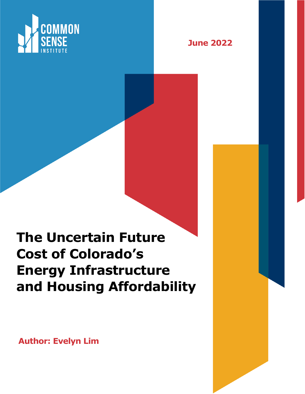



# **The Uncertain Future Cost of Colorado's Energy Infrastructure and Housing Affordability**

**Author: Evelyn Lim**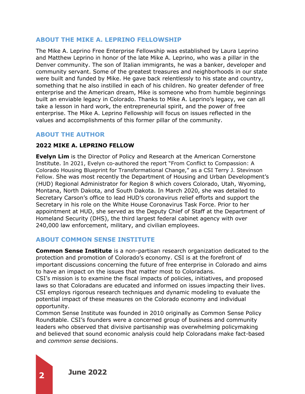# **ABOUT THE MIKE A. LEPRINO FELLOWSHIP**

The Mike A. Leprino Free Enterprise Fellowship was established by Laura Leprino and Matthew Leprino in honor of the late Mike A. Leprino, who was a pillar in the Denver community. The son of Italian immigrants, he was a banker, developer and community servant. Some of the greatest treasures and neighborhoods in our state were built and funded by Mike. He gave back relentlessly to his state and country, something that he also instilled in each of his children. No greater defender of free enterprise and the American dream, Mike is someone who from humble beginnings built an enviable legacy in Colorado. Thanks to Mike A. Leprino's legacy, we can all take a lesson in hard work, the entrepreneurial spirit, and the power of free enterprise. The Mike A. Leprino Fellowship will focus on issues reflected in the values and accomplishments of this former pillar of the community.

# **ABOUT THE AUTHOR**

#### **2022 MIKE A. LEPRINO FELLOW**

**Evelyn Lim** is the Director of Policy and Research at the American Cornerstone Institute. In 2021, Evelyn co-authored the report "From Conflict to Compassion: A Colorado Housing Blueprint for Transformational Change," as a CSI Terry J. Stevinson Fellow. She was most recently the Department of Housing and Urban Development's (HUD) Regional Administrator for Region 8 which covers Colorado, Utah, Wyoming, Montana, North Dakota, and South Dakota. In March 2020, she was detailed to Secretary Carson's office to lead HUD's coronavirus relief efforts and support the Secretary in his role on the White House Coronavirus Task Force. Prior to her appointment at HUD, she served as the Deputy Chief of Staff at the Department of Homeland Security (DHS), the third largest federal cabinet agency with over 240,000 law enforcement, military, and civilian employees.

### **ABOUT COMMON SENSE INSTITUTE**

**Common Sense Institute** is a non-partisan research organization dedicated to the protection and promotion of Colorado's economy. CSI is at the forefront of important discussions concerning the future of free enterprise in Colorado and aims to have an impact on the issues that matter most to Coloradans.

CSI's mission is to examine the fiscal impacts of policies, initiatives, and proposed laws so that Coloradans are educated and informed on issues impacting their lives. CSI employs rigorous research techniques and dynamic modeling to evaluate the potential impact of these measures on the Colorado economy and individual opportunity.

Common Sense Institute was founded in 2010 originally as Common Sense Policy Roundtable. CSI's founders were a concerned group of business and community leaders who observed that divisive partisanship was overwhelming policymaking and believed that sound economic analysis could help Coloradans make fact-based and *common sense* decisions.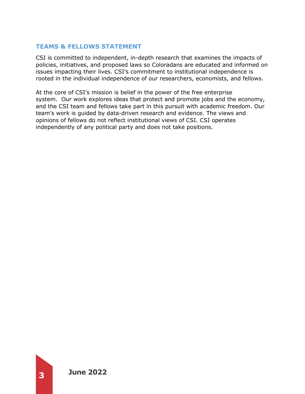# **TEAMS & FELLOWS STATEMENT**

CSI is committed to independent, in-depth research that examines the impacts of policies, initiatives, and proposed laws so Coloradans are educated and informed on issues impacting their lives. CSI's commitment to institutional independence is rooted in the individual independence of our researchers, economists, and fellows.

At the core of CSI's mission is belief in the power of the free enterprise system. Our work explores ideas that protect and promote jobs and the economy, and the CSI team and fellows take part in this pursuit with academic freedom. Our team's work is guided by data-driven research and evidence. The views and opinions of fellows do not reflect institutional views of CSI. CSI operates independently of any political party and does not take positions.

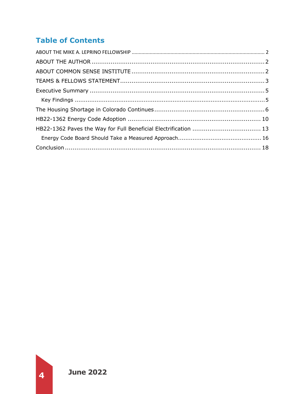# **Table of Contents**

| HB22-1362 Paves the Way for Full Beneficial Electrification  13 |  |
|-----------------------------------------------------------------|--|
|                                                                 |  |
|                                                                 |  |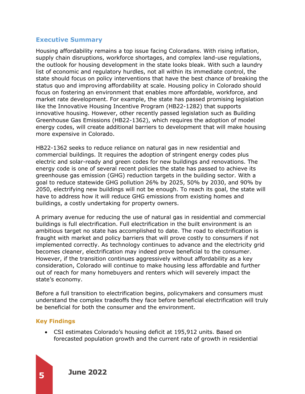# **Executive Summary**

Housing affordability remains a top issue facing Coloradans. With rising inflation, supply chain disruptions, workforce shortages, and complex land-use regulations, the outlook for housing development in the state looks bleak. With such a laundry list of economic and regulatory hurdles, not all within its immediate control, the state should focus on policy interventions that have the best chance of breaking the status quo and improving affordability at scale. Housing policy in Colorado should focus on fostering an environment that enables more affordable, workforce, and market rate development. For example, the state has passed promising legislation like the Innovative Housing Incentive Program (HB22-1282) that supports innovative housing. However, other recently passed legislation such as Building Greenhouse Gas Emissions (HB22-1362), which requires the adoption of model energy codes, will create additional barriers to development that will make housing more expensive in Colorado.

HB22-1362 seeks to reduce reliance on natural gas in new residential and commercial buildings. It requires the adoption of stringent energy codes plus electric and solar-ready and green codes for new buildings and renovations. The energy code is one of several recent policies the state has passed to achieve its greenhouse gas emission (GHG) reduction targets in the building sector. With a goal to reduce statewide GHG pollution 26% by 2025, 50% by 2030, and 90% by 2050, electrifying new buildings will not be enough. To reach its goal, the state will have to address how it will reduce GHG emissions from existing homes and buildings, a costly undertaking for property owners.

A primary avenue for reducing the use of natural gas in residential and commercial buildings is full electrification. Full electrification in the built environment is an ambitious target no state has accomplished to date. The road to electrification is fraught with market and policy barriers that will prove costly to consumers if not implemented correctly. As technology continues to advance and the electricity grid becomes cleaner, electrification may indeed prove beneficial to the consumer. However, if the transition continues aggressively without affordability as a key consideration, Colorado will continue to make housing less affordable and further out of reach for many homebuyers and renters which will severely impact the state's economy.

Before a full transition to electrification begins, policymakers and consumers must understand the complex tradeoffs they face before beneficial electrification will truly be beneficial for both the consumer and the environment.

### **Key Findings**

• CSI estimates Colorado's housing deficit at 195,912 units. Based on forecasted population growth and the current rate of growth in residential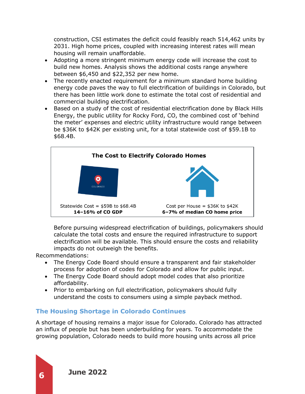construction, CSI estimates the deficit could feasibly reach 514,462 units by 2031. High home prices, coupled with increasing interest rates will mean housing will remain unaffordable.

- Adopting a more stringent minimum energy code will increase the cost to build new homes. Analysis shows the additional costs range anywhere between \$6,450 and \$22,352 per new home.
- The recently enacted requirement for a minimum standard home building energy code paves the way to full electrification of buildings in Colorado, but there has been little work done to estimate the total cost of residential and commercial building electrification.
- Based on a study of the cost of residential electrification done by Black Hills Energy, the public utility for Rocky Ford, CO, the combined cost of 'behind the meter' expenses and electric utility infrastructure would range between be \$36K to \$42K per existing unit, for a total statewide cost of \$59.1B to \$68.4B.



Before pursuing widespread electrification of buildings, policymakers should calculate the total costs and ensure the required infrastructure to support electrification will be available. This should ensure the costs and reliability impacts do not outweigh the benefits.

Recommendations:

- The Energy Code Board should ensure a transparent and fair stakeholder process for adoption of codes for Colorado and allow for public input.
- The Energy Code Board should adopt model codes that also prioritize affordability.
- Prior to embarking on full electrification, policymakers should fully understand the costs to consumers using a simple payback method.

# **The Housing Shortage in Colorado Continues**

A shortage of housing remains a major issue for Colorado. Colorado has attracted an influx of people but has been underbuilding for years. To accommodate the growing population, Colorado needs to build more housing units across all price

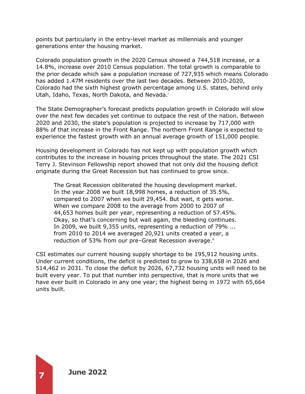points but particularly in the entry-level market as millennials and younger generations enter the housing market.

Colorado population growth in the 2020 Census showed a 744,518 increase, or a 14.8%, increase over 2010 Census population. The total growth is comparable to the prior decade which saw a population increase of 727,935 which means Colorado has added 1.47M residents over the last two decades. Between 2010-2020, Colorado had the sixth highest growth percentage among U.S. states, behind only Utah, Idaho, Texas, North Dakota, and Nevada.<sup>i</sup>

The State Demographer's forecast predicts population growth in Colorado will slow over the next few decades yet continue to outpace the rest of the nation. Between 2020 and 2030, the state's population is projected to increase by 717,000 with 88% of that increase in the Front Range. The northern Front Range is expected to experience the fastest growth with an annual average growth of 151,000 people.

Housing development in Colorado has not kept up with population growth which contributes to the increase in housing prices throughout the state. The 2021 CSI Terry J. Stevinson Fellowship report showed that not only did the housing deficit originate during the Great Recession but has continued to grow since.

The Great Recession obliterated the housing development market. In the year 2008 we built 18,998 homes, a reduction of 35.5%, compared to 2007 when we built 29,454. But wait, it gets worse. When we compare 2008 to the average from 2000 to 2007 of 44,653 homes built per year, representing a reduction of 57.45%. Okay, so that's concerning but wait again, the bleeding continues. In 2009, we built 9,355 units, representing a reduction of 79% ... from 2010 to 2014 we averaged 20,921 units created a year, a reduction of 53% from our pre-Great Recession average.<sup>ii</sup>

CSI estimates our current housing supply shortage to be 195,912 housing units. Under current conditions, the deficit is predicted to grow to 338,658 in 2026 and 514,462 in 2031. To close the deficit by 2026, 67,732 housing units will need to be built every year. To put that number into perspective, that is more units that we have ever built in Colorado in any one year; the highest being in 1972 with 65,664 units built.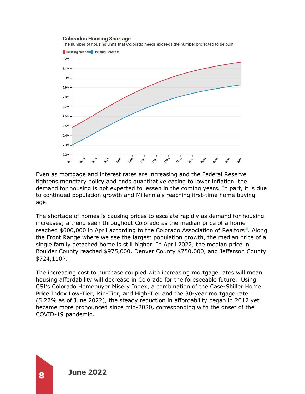#### **Colorado's Housing Shortage**

The number of housing units that Colorado needs exceeds the number projected to be built



Even as mortgage and interest rates are increasing and the Federal Reserve tightens monetary policy and ends quantitative easing to lower inflation, the demand for housing is not expected to lessen in the coming years. In part, it is due to continued population growth and Millennials reaching first-time home buying age.

The shortage of homes is causing prices to escalate rapidly as demand for housing increases; a trend seen throughout Colorado as the median price of a home reached \$600,000 in April according to the Colorado Association of Realtors<sup>iii</sup>. Along the Front Range where we see the largest population growth, the median price of a single family detached home is still higher. In April 2022, the median price in Boulder County reached \$975,000, Denver County \$750,000, and Jefferson County  $$724,110<sup>iv</sup>$ .

The increasing cost to purchase coupled with increasing mortgage rates will mean housing affordability will decrease in Colorado for the foreseeable future. Using CSI's Colorado Homebuyer Misery Index, a combination of the Case-Shiller Home Price Index Low-Tier, Mid-Tier, and High-Tier and the 30-year mortgage rate (5.27% as of June 2022), the steady reduction in affordability began in 2012 yet became more pronounced since mid-2020, corresponding with the onset of the COVID-19 pandemic.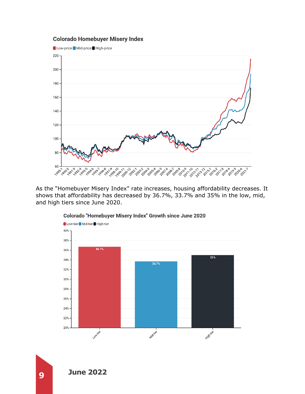# **Colorado Homebuyer Misery Index**



As the "Homebuyer Misery Index" rate increases, housing affordability decreases. It shows that affordability has decreased by 36.7%, 33.7% and 35% in the low, mid, and high tiers since June 2020.



#### Colorado "Homebuyer Misery Index" Growth since June 2020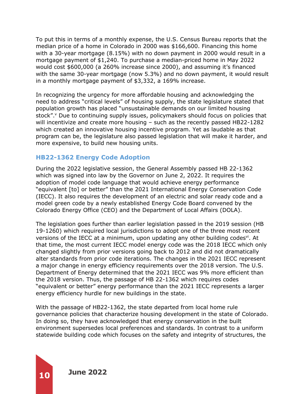To put this in terms of a monthly expense, the U.S. Census Bureau reports that the median price of a home in Colorado in 2000 was \$166,600. Financing this home with a 30-year mortgage (8.15%) with no down payment in 2000 would result in a mortgage payment of \$1,240. To purchase a median-priced home in May 2022 would cost \$600,000 (a 260% increase since 2000), and assuming it's financed with the same 30-year mortgage (now 5.3%) and no down payment, it would result in a monthly mortgage payment of \$3,332, a 169% increase.

In recognizing the urgency for more affordable housing and acknowledging the need to address "critical levels" of housing supply, the state legislature stated that population growth has placed "unsustainable demands on our limited housing stock". <sup>v</sup> Due to continuing supply issues, policymakers should focus on policies that will incentivize and create more housing – such as the recently passed HB22-1282 which created an innovative housing incentive program. Yet as laudable as that program can be, the legislature also passed legislation that will make it harder, and more expensive, to build new housing units.

# **HB22-1362 Energy Code Adoption**

During the 2022 legislative session, the General Assembly passed HB 22-1362 which was signed into law by the Governor on June 2, 2022. It requires the adoption of model code language that would achieve energy performance "equivalent [to] or better" than the 2021 International Energy Conservation Code (IECC). It also requires the development of an electric and solar ready code and a model green code by a newly established Energy Code Board convened by the Colorado Energy Office (CEO) and the Department of Local Affairs (DOLA).

The legislation goes further than earlier legislation passed in the 2019 session (HB 19-1260) which required local jurisdictions to adopt one of the three most recent versions of the IECC at a minimum, upon updating any other building codes<sup>vi</sup>. At that time, the most current IECC model energy code was the 2018 IECC which only changed slightly from prior versions going back to 2012 and did not dramatically alter standards from prior code iterations. The changes in the 2021 IECC represent a major change in energy efficiency requirements over the 2018 version. The U.S. Department of Energy determined that the 2021 IECC was 9% more efficient than the 2018 version. Thus, the passage of HB 22-1362 which requires codes "equivalent or better" energy performance than the 2021 IECC represents a larger energy efficiency hurdle for new buildings in the state.

With the passage of HB22-1362, the state departed from local home rule governance policies that characterize housing development in the state of Colorado. In doing so, they have acknowledged that energy conservation in the built environment supersedes local preferences and standards. In contrast to a uniform statewide building code which focuses on the safety and integrity of structures, the

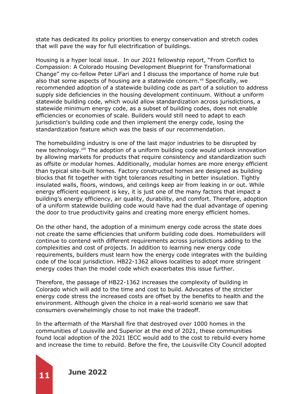state has dedicated its policy priorities to energy conservation and stretch codes that will pave the way for full electrification of buildings.

Housing is a hyper local issue. In our 2021 fellowship report, "From Conflict to Compassion: A Colorado Housing Development Blueprint for Transformational Change" my co-fellow Peter LiFari and I discuss the importance of home rule but also that some aspects of housing are a statewide concern.<sup>vii</sup> Specifically, we recommended adoption of a statewide building code as part of a solution to address supply side deficiencies in the housing development continuum. Without a uniform statewide building code, which would allow standardization across jurisdictions, a statewide minimum energy code, as a subset of building codes, does not enable efficiencies or economies of scale. Builders would still need to adapt to each jurisdiction's building code and then implement the energy code, losing the standardization feature which was the basis of our recommendation.

The homebuilding industry is one of the last major industries to be disrupted by new technology.<sup>viii</sup> The adoption of a uniform building code would unlock innovation by allowing markets for products that require consistency and standardization such as offsite or modular homes. Additionally, modular homes are more energy efficient than typical site-built homes. Factory constructed homes are designed as building blocks that fit together with tight tolerances resulting in better insulation. Tightly insulated walls, floors, windows, and ceilings keep air from leaking in or out. While energy efficient equipment is key, it is just one of the many factors that impact a building's energy efficiency, air quality, durability, and comfort. Therefore, adoption of a uniform statewide building code would have had the dual advantage of opening the door to true productivity gains and creating more energy efficient homes.

On the other hand, the adoption of a minimum energy code across the state does not create the same efficiencies that uniform building code does. Homebuilders will continue to contend with different requirements across jurisdictions adding to the complexities and cost of projects. In addition to learning new energy code requirements, builders must learn how the energy code integrates with the building code of the local jurisdiction. HB22-1362 allows localities to adopt more stringent energy codes than the model code which exacerbates this issue further.

Therefore, the passage of HB22-1362 increases the complexity of building in Colorado which will add to the time and cost to build. Advocates of the stricter energy code stress the increased costs are offset by the benefits to health and the environment. Although given the choice in a real-world scenario we saw that consumers overwhelmingly chose to not make the tradeoff.

In the aftermath of the Marshall fire that destroyed over 1000 homes in the communities of Louisville and Superior at the end of 2021, these communities found local adoption of the 2021 IECC would add to the cost to rebuild every home and increase the time to rebuild. Before the fire, the Louisville City Council adopted

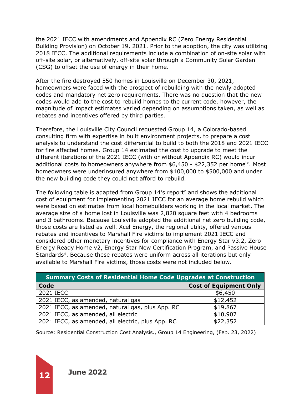the 2021 IECC with amendments and Appendix RC (Zero Energy Residential Building Provision) on October 19, 2021. Prior to the adoption, the city was utilizing 2018 IECC. The additional requirements include a combination of on-site solar with off-site solar, or alternatively, off-site solar through a Community Solar Garden (CSG) to offset the use of energy in their home.

After the fire destroyed 550 homes in Louisville on December 30, 2021, homeowners were faced with the prospect of rebuilding with the newly adopted codes and mandatory net zero requirements. There was no question that the new codes would add to the cost to rebuild homes to the current code, however, the magnitude of impact estimates varied depending on assumptions taken, as well as rebates and incentives offered by third parties.

Therefore, the Louisville City Council requested Group 14, a Colorado-based consulting firm with expertise in built environment projects, to prepare a cost analysis to understand the cost differential to build to both the 2018 and 2021 IECC for fire affected homes. Group 14 estimated the cost to upgrade to meet the different iterations of the 2021 IECC (with or without Appendix RC) would incur additional costs to homeowners anywhere from  $$6,450$  -  $$22,352$  per home<sup>ix</sup>. Most homeowners were underinsured anywhere from \$100,000 to \$500,000 and under the new building code they could not afford to rebuild.

The following table is adapted from Group  $14$ 's report<sup>x</sup> and shows the additional cost of equipment for implementing 2021 IECC for an average home rebuild which were based on estimates from local homebuilders working in the local market. The average size of a home lost in Louisville was 2,820 square feet with 4 bedrooms and 3 bathrooms. Because Louisville adopted the additional net zero building code, those costs are listed as well. Xcel Energy, the regional utility, offered various rebates and incentives to Marshall Fire victims to implement 2021 IECC and considered other monetary incentives for compliance with Energy Star v3.2, Zero Energy Ready Home v2, Energy Star New Certification Program, and Passive House Standards<sup>xi</sup>. Because these rebates were uniform across all iterations but only available to Marshall Fire victims, those costs were not included below.

| <b>Summary Costs of Residential Home Code Upgrades at Construction</b> |                               |  |  |  |
|------------------------------------------------------------------------|-------------------------------|--|--|--|
| Code                                                                   | <b>Cost of Equipment Only</b> |  |  |  |
| 2021 IECC                                                              | \$6,450                       |  |  |  |
| 2021 IECC, as amended, natural gas                                     | \$12,452                      |  |  |  |
| 2021 IECC, as amended, natural gas, plus App. RC                       | \$19,867                      |  |  |  |
| 2021 IECC, as amended, all electric                                    | \$10,907                      |  |  |  |
| 2021 IECC, as amended, all electric, plus App. RC                      | \$22,352                      |  |  |  |

Source: Residential Construction Cost Analysis., Group 14 Engineering, (Feb. 23, 2022)

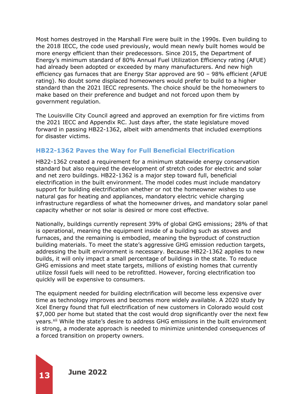Most homes destroyed in the Marshall Fire were built in the 1990s. Even building to the 2018 IECC, the code used previously, would mean newly built homes would be more energy efficient than their predecessors. Since 2015, the Department of Energy's minimum standard of 80% Annual Fuel Utilization Efficiency rating (AFUE) had already been adopted or exceeded by many manufacturers. And new high efficiency gas furnaces that are Energy Star approved are 90 – 98% efficient (AFUE rating). No doubt some displaced homeowners would prefer to build to a higher standard than the 2021 IECC represents. The choice should be the homeowners to make based on their preference and budget and not forced upon them by government regulation.

The Louisville City Council agreed and approved an exemption for fire victims from the 2021 IECC and Appendix RC. Just days after, the state legislature moved forward in passing HB22-1362, albeit with amendments that included exemptions for disaster victims.

# **HB22-1362 Paves the Way for Full Beneficial Electrification**

HB22-1362 created a requirement for a minimum statewide energy conservation standard but also required the development of stretch codes for electric and solar and net zero buildings. HB22-1362 is a major step toward full, beneficial electrification in the built environment. The model codes must include mandatory support for building electrification whether or not the homeowner wishes to use natural gas for heating and appliances, mandatory electric vehicle charging infrastructure regardless of what the homeowner drives, and mandatory solar panel capacity whether or not solar is desired or more cost effective.

Nationally, buildings currently represent 39% of global GHG emissions; 28% of that is operational, meaning the equipment inside of a building such as stoves and furnaces, and the remaining is embodied, meaning the byproduct of construction building materials. To meet the state's aggressive GHG emission reduction targets, addressing the built environment is necessary. Because HB22-1362 applies to new builds, it will only impact a small percentage of buildings in the state. To reduce GHG emissions and meet state targets, millions of existing homes that currently utilize fossil fuels will need to be retrofitted. However, forcing electrification too quickly will be expensive to consumers.

The equipment needed for building electrification will become less expensive over time as technology improves and becomes more widely available. A 2020 study by Xcel Energy found that full electrification of new customers in Colorado would cost \$7,000 per home but stated that the cost would drop significantly over the next few years.<sup>xii</sup> While the state's desire to address GHG emissions in the built environment is strong, a moderate approach is needed to minimize unintended consequences of a forced transition on property owners.

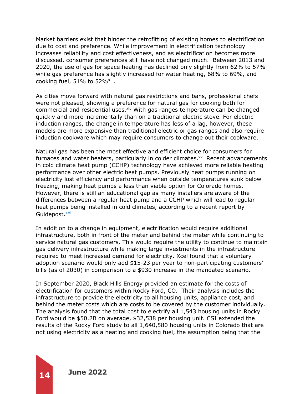Market barriers exist that hinder the retrofitting of existing homes to electrification due to cost and preference. While improvement in electrification technology increases reliability and cost effectiveness, and as electrification becomes more discussed, consumer preferences still have not changed much. Between 2013 and 2020, the use of gas for space heating has declined only slightly from 62% to 57% while gas preference has slightly increased for water heating, 68% to 69%, and cooking fuel,  $51\%$  to  $52\%$ <sup>xiii</sup>.

As cities move forward with natural gas restrictions and bans, professional chefs were not pleased, showing a preference for natural gas for cooking both for commercial and residential uses.xiv With gas ranges temperature can be changed quickly and more incrementally than on a traditional electric stove. For electric induction ranges, the change in temperature has less of a lag, however, these models are more expensive than traditional electric or gas ranges and also require induction cookware which may require consumers to change out their cookware.

Natural gas has been the most effective and efficient choice for consumers for furnaces and water heaters, particularly in colder climates.<sup>xv</sup> Recent advancements in cold climate heat pump (CCHP) technology have achieved more reliable heating performance over other electric heat pumps. Previously heat pumps running on electricity lost efficiency and performance when outside temperatures sunk below freezing, making heat pumps a less than viable option for Colorado homes. However, there is still an educational gap as many installers are aware of the differences between a regular heat pump and a CCHP which will lead to regular heat pumps being installed in cold climates, according to a recent report by Guidepost. XVI

In addition to a change in equipment, electrification would require additional infrastructure, both in front of the meter and behind the meter while continuing to service natural gas customers. This would require the utility to continue to maintain gas delivery infrastructure while making large investments in the infrastructure required to meet increased demand for electricity. Xcel found that a voluntary adoption scenario would only add \$15-23 per year to non-participating customers' bills (as of 2030) in comparison to a \$930 increase in the mandated scenario.

In September 2020, Black Hills Energy provided an estimate for the costs of electrification for customers within Rocky Ford, CO. Their analysis includes the infrastructure to provide the electricity to all housing units, appliance cost, and behind the meter costs which are costs to be covered by the customer individually. The analysis found that the total cost to electrify all 1,543 housing units in Rocky Ford would be \$50.2B on average, \$32,538 per housing unit. CSI extended the results of the Rocky Ford study to all 1,640,580 housing units in Colorado that are not using electricity as a heating and cooking fuel, the assumption being that the

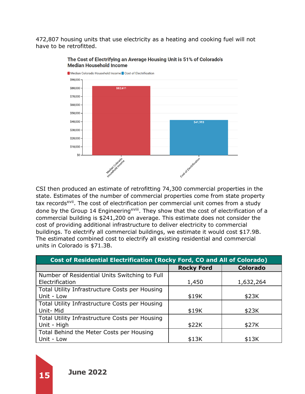472,807 housing units that use electricity as a heating and cooking fuel will not have to be retrofitted.



#### The Cost of Electrifying an Average Housing Unit is 51% of Colorado's **Median Household Income**

CSI then produced an estimate of retrofitting 74,300 commercial properties in the state. Estimates of the number of commercial properties come from state property tax records<sup>xvii</sup>. The cost of electrification per commercial unit comes from a study done by the Group 14 Engineering<sup>xviii</sup>. They show that the cost of electrification of a commercial building is \$241,200 on average. This estimate does not consider the cost of providing additional infrastructure to deliver electricity to commercial buildings. To electrify all commercial buildings, we estimate it would cost \$17.9B. The estimated combined cost to electrify all existing residential and commercial units in Colorado is \$71.3B.

| Cost of Residential Electrification (Rocky Ford, CO and All of Colorado) |                   |                 |  |
|--------------------------------------------------------------------------|-------------------|-----------------|--|
|                                                                          | <b>Rocky Ford</b> | <b>Colorado</b> |  |
| Number of Residential Units Switching to Full                            |                   |                 |  |
| Electrification                                                          | 1,450             | 1,632,264       |  |
| Total Utility Infrastructure Costs per Housing                           |                   |                 |  |
| Unit - Low                                                               | \$19K             | \$23K           |  |
| Total Utility Infrastructure Costs per Housing                           |                   |                 |  |
| Unit-Mid                                                                 | \$19K             | \$23K           |  |
| Total Utility Infrastructure Costs per Housing                           |                   |                 |  |
| Unit - High                                                              | \$22K             | \$27K           |  |
| Total Behind the Meter Costs per Housing                                 |                   |                 |  |
| Unit - Low                                                               | \$13K             | \$13K           |  |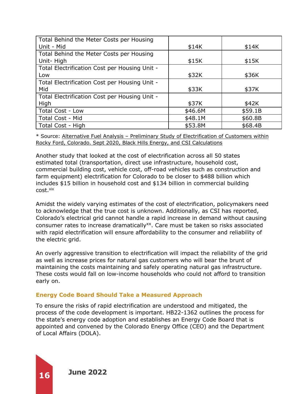| Total Behind the Meter Costs per Housing      |         |         |
|-----------------------------------------------|---------|---------|
| Unit - Mid                                    | \$14K   | \$14K   |
| Total Behind the Meter Costs per Housing      |         |         |
| Unit-High                                     | \$15K   | \$15K   |
| Total Electrification Cost per Housing Unit - |         |         |
| Low                                           | \$32K   | \$36K   |
| Total Electrification Cost per Housing Unit - |         |         |
| Mid                                           | \$33K   | \$37K   |
| Total Electrification Cost per Housing Unit - |         |         |
| High                                          | \$37K   | \$42K   |
| Total Cost - Low                              | \$46.6M | \$59.1B |
| Total Cost - Mid                              | \$48.1M | \$60.8B |
| Total Cost - High                             | \$53.8M | \$68.4B |

\* Source: Alternative Fuel Analysis – Preliminary Study of Electrification of Customers within Rocky Ford, Colorado. Sept 2020, Black Hills Energy, and CSI Calculations

Another study that looked at the cost of electrification across all 50 states estimated total (transportation, direct use infrastructure, household cost, commercial building cost, vehicle cost, off-road vehicles such as construction and farm equipment) electrification for Colorado to be closer to \$488 billion which includes \$15 billion in household cost and \$134 billion in commercial building cost. xix

Amidst the widely varying estimates of the cost of electrification, policymakers need to acknowledge that the true cost is unknown. Additionally, as CSI has reported, Colorado's electrical grid cannot handle a rapid increase in demand without causing consumer rates to increase dramatically<sup>xx</sup>. Care must be taken so risks associated with rapid electrification will ensure affordability to the consumer and reliability of the electric grid.

An overly aggressive transition to electrification will impact the reliability of the grid as well as increase prices for natural gas customers who will bear the brunt of maintaining the costs maintaining and safely operating natural gas infrastructure. These costs would fall on low-income households who could not afford to transition early on.

### **Energy Code Board Should Take a Measured Approach**

To ensure the risks of rapid electrification are understood and mitigated, the process of the code development is important. HB22-1362 outlines the process for the state's energy code adoption and establishes an Energy Code Board that is appointed and convened by the Colorado Energy Office (CEO) and the Department of Local Affairs (DOLA).

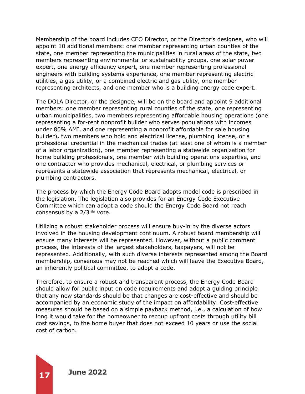Membership of the board includes CEO Director, or the Director's designee, who will appoint 10 additional members: one member representing urban counties of the state, one member representing the municipalities in rural areas of the state, two members representing environmental or sustainability groups, one solar power expert, one energy efficiency expert, one member representing professional engineers with building systems experience, one member representing electric utilities, a gas utility, or a combined electric and gas utility, one member representing architects, and one member who is a building energy code expert.

The DOLA Director, or the designee, will be on the board and appoint 9 additional members: one member representing rural counties of the state, one representing urban municipalities, two members representing affordable housing operations (one representing a for-rent nonprofit builder who serves populations with incomes under 80% AMI, and one representing a nonprofit affordable for sale housing builder), two members who hold and electrical license, plumbing license, or a professional credential in the mechanical trades (at least one of whom is a member of a labor organization), one member representing a statewide organization for home building professionals, one member with building operations expertise, and one contractor who provides mechanical, electrical, or plumbing services or represents a statewide association that represents mechanical, electrical, or plumbing contractors.

The process by which the Energy Code Board adopts model code is prescribed in the legislation. The legislation also provides for an Energy Code Executive Committee which can adopt a code should the Energy Code Board not reach consensus by a  $2/3^{rds}$  vote.

Utilizing a robust stakeholder process will ensure buy-in by the diverse actors involved in the housing development continuum. A robust board membership will ensure many interests will be represented. However, without a public comment process, the interests of the largest stakeholders, taxpayers, will not be represented. Additionally, with such diverse interests represented among the Board membership, consensus may not be reached which will leave the Executive Board, an inherently political committee, to adopt a code.

Therefore, to ensure a robust and transparent process, the Energy Code Board should allow for public input on code requirements and adopt a guiding principle that any new standards should be that changes are cost-effective and should be accompanied by an economic study of the impact on affordability. Cost-effective measures should be based on a simple payback method, i.e., a calculation of how long it would take for the homeowner to recoup upfront costs through utility bill cost savings, to the home buyer that does not exceed 10 years or use the social cost of carbon.

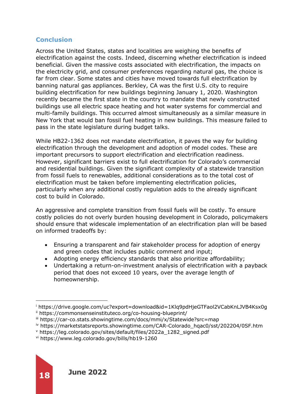# **Conclusion**

Across the United States, states and localities are weighing the benefits of electrification against the costs. Indeed, discerning whether electrification is indeed beneficial. Given the massive costs associated with electrification, the impacts on the electricity grid, and consumer preferences regarding natural gas, the choice is far from clear. Some states and cities have moved towards full electrification by banning natural gas appliances. Berkley, CA was the first U.S. city to require building electrification for new buildings beginning January 1, 2020. Washington recently became the first state in the country to mandate that newly constructed buildings use all electric space heating and hot water systems for commercial and multi-family buildings. This occurred almost simultaneously as a similar measure in New York that would ban fossil fuel heating in new buildings. This measure failed to pass in the state legislature during budget talks.

While HB22-1362 does not mandate electrification, it paves the way for building electrification through the development and adoption of model codes. These are important precursors to support electrification and electrification readiness. However, significant barriers exist to full electrification for Colorado's commercial and residential buildings. Given the significant complexity of a statewide transition from fossil fuels to renewables, additional considerations as to the total cost of electrification must be taken before implementing electrification policies, particularly when any additional costly regulation adds to the already significant cost to build in Colorado.

An aggressive and complete transition from fossil fuels will be costly. To ensure costly policies do not overly burden housing development in Colorado, policymakers should ensure that widescale implementation of an electrification plan will be based on informed tradeoffs by:

- Ensuring a transparent and fair stakeholder process for adoption of energy and green codes that includes public comment and input;
- Adopting energy efficiency standards that also prioritize affordability;
- Undertaking a return-on-investment analysis of electrification with a payback period that does not exceed 10 years, over the average length of homeownership.

<sup>i</sup> https://drive.google.com/uc?export=download&id=1Klq9pdHjeGTFaol2VCabKnLJVB4Ksx0g

ii https://commonsenseinstituteco.org/co-housing-blueprint/

iii https://car-co.stats.showingtime.com/docs/mmi/x/Statewide?src=map

iv https://marketstatsreports.showingtime.com/CAR-Colorado\_hqac0/sst/202204/0SF.htm

<sup>v</sup> https://leg.colorado.gov/sites/default/files/2022a\_1282\_signed.pdf

vi https://www.leg.colorado.gov/bills/hb19-1260